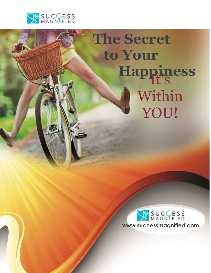

# **The Secret to Your** Happiness Within YOU!



**SPECIAL**

**REPORT**

Mary Gaul was a strong of the strong strong strong strong strong strong strong strong strong strong strong strong strong strong strong strong strong strong strong strong strong strong strong strong strong strong strong str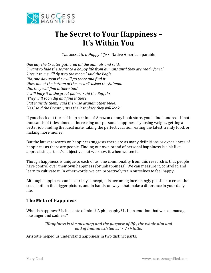

# **The Secret to Your Happiness – It's Within You**

*The Secret to a Happy Life* ~ Native American parable

*One day the Creator gathered all the animals and said: 'I want to hide the secret to a happy life from humans until they are ready for it.' 'Give it to me. I'll fly it to the moon,' said the Eagle. 'No, one day soon they will go there and find it.' 'How about the bottom of the ocean?' asked the Salmon. 'No, they will find it there too.' 'I will bury it in the great plains,' said the Buffalo. 'They will soon dig and find it there.' 'Put it inside them,' said the wise grandmother Mole. 'Yes,' said the Creator, 'it is the last place they will look.'*

If you check out the self-help section of Amazon or any book store, you'll find hundreds if not thousands of titles aimed at increasing our personal happiness by losing weight, getting a better job, finding the ideal mate, taking the perfect vacation, eating the latest trendy food, or making more money.

But the latest research on happiness suggests there are as many definitions or experiences of happiness as there are people. Finding our own brand of personal happiness is a bit like appreciating art – it's subjective, but we know it when we see it.

Though happiness is unique to each of us, one commonality from this research is that people have control over their own happiness (or unhappiness). We can measure it, control it, and learn to cultivate it. In other words, we can proactively train ourselves to feel happy.

Although happiness can be a tricky concept, it is becoming increasingly possible to crack the code, both in the bigger picture, and in hands-on ways that make a difference in your daily life.

## **The Meta of Happiness**

What is happiness? Is it a state of mind? A philosophy? Is it an emotion that we can manage like anger and sadness?

> *"Happiness is the meaning and the purpose of life, the whole aim and end of human existence." ~ Aristotle.*

Aristotle helped us understand happiness in two distinct parts: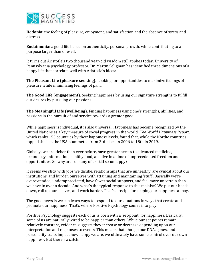

**Hedonia**: the feeling of pleasure, enjoyment, and satisfaction and the absence of stress and distress.

**Eudaimonia:** a good life based on authenticity, personal growth, while contributing to a purpose larger than oneself.

It turns out Aristotle's two thousand year-old wisdom still applies today. University of Pennsylvania psychology professor, Dr. Martin Seligman has identified three dimensions of a happy life that correlate well with Aristotle's ideas:

**The Pleasant Life (pleasure seeking).** Looking for opportunities to maximize feelings of pleasure while minimizing feelings of pain.

**The Good Life (engagement).** Seeking happiness by using our signature strengths to fulfill our desires by pursuing our passions.

**The Meaningful Life (wellbeing).** Finding happiness using one's strengths, abilities, and passions in the pursuit of and service towards a greater good.

While happiness is individual, it is also universal. Happiness has become recognized by the United Nations as a key measure of social progress in the world. *The World Happiness Report,*  which ranks 155 countries by their happiness levels, found that, while the Nordic countries topped the list, the USA plummeted from 3rd place in 2006 to 18th in 2019.

Globally, we are richer than ever before, have greater access to advanced medicine, technology, information, healthy food, and live in a time of unprecedented freedom and opportunities. So why are so many of us still so unhappy?

It seems we stick with jobs we dislike, relationships that are unhealthy, are cynical about our institutions, and burden ourselves with attaining and maintaining 'stuff'. Basically we're overextended, underappreciated, have fewer social supports, and feel more uncertain than we have in over a decade. And what's the typical response to this malaise? We put our heads down, roll up our sleeves, and work harder. That's a recipe for keeping our happiness at bay.

The good news is we can learn ways to respond to our situations in ways that create and promote our happiness. That's where Positive Psychology comes into play.

Positive Psychology suggests each of us is born with a 'set-point' for happiness. Basically, some of us are naturally wired to be happier than others. While our set points remain relatively constant, evidence suggests they increase or decrease depending upon our interpretation and responses to events. This means that, though our DNA, genes, and personality traits impact how happy we are, we ultimately have some control over our own happiness. But there's a catch.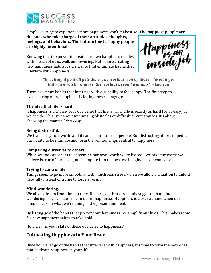

Simply *wanting* to experience more happiness won't make it so. **The happiest people are** 

**the ones who take charge of their attitudes, thoughts, feelings, and behaviors. The bottom line is, happy people are highly intentional.** 

Knowing that the power to create our own happiness resides within each of us is, well, empowering. But before creating new happiness habits it's critical to first eliminate habits that interfere with happiness.



*"By letting it go it all gets done. The world is won by those who let it go. But when you try and try, the world is beyond winning." ~ Lao Tzu*

There are many habits that interfere with our ability to feel happy. The first step to experiencing more happiness is letting these things go:

#### **The idea that life is hard.**

If happiness is a choice, so is our belief that life is hard. Life is exactly as hard (or as easy) as we decide. This isn't about minimizing obstacles or difficult circumstances. It's about choosing the mantra *life is easy*.

#### **Being distrustful.**

We live in a cynical world and it can be hard to trust people. But distrusting others impedes our ability to be intimate and form the relationships central to happiness.

#### **Comparing ourselves to others.**

When we look at others to determine our own worth we're biased - we take the worst we believe is true of ourselves, and compare it to the best we imagine in someone else.

#### **Trying to control life.**

Things seem to go more smoothly, with much less stress, when we allow a situation to unfold naturally instead of trying to force a result.

#### **Mind-wandering.**

We all daydream from time to time. But a recent Harvard study suggests that mindwandering plays a major role in our unhappiness. Happiness is closer at hand when our minds focus on what we're doing in the present moment.

By letting go of the habits that prevent our happiness, we simplify our lives. This makes room for new happiness habits to take hold.

How clear is your slate of these obstacles to happiness?

### **Cultivating Happiness in Your Brain**

Once you've let go of the habits that interfere with happiness, it's time to form the new ones that cultivate happiness in your life.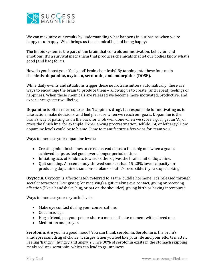

We can maximize our results by understanding what happens in our brains when we're happy or unhappy. What brings us the chemical high of being happy?

The limbic system is the part of the brain that controls our motivation, behavior, and emotions. It's a survival mechanism that produces chemicals that let our bodies know what's good (and bad) for us.

How do you boost your 'feel good' brain chemicals? By tapping into these four main chemicals: **dopamine, oxytocin, serotonin, and endorphins (DOSE).**

While daily events and situations trigger these neurotransmitters automatically, there are ways to encourage the brain to produce them – allowing us to create (and repeat) feelings of happiness. When those chemicals are released we become more motivated, productive, and experience greater wellbeing.

**Dopamine** is often referred to as the 'happiness drug'. It's responsible for motivating us to take action, make decisions, and feel pleasure when we reach our goals. Dopamine is the brain's way of patting us on the back for a job well done when we score a goal, get an 'A', or cross the finish line, for example. Experiencing procrastination, self-doubt, or lethargy? Low dopamine levels could be to blame. Time to manufacture a few wins for 'team you'.

Ways to increase your dopamine levels:

- Creating mini finish lines to cross instead of just a final, big one when a goal is achieved helps us feel good over a longer period of time.
- Initiating acts of kindness towards others gives the brain a hit of dopamine.
- Ouit smoking. A recent study showed smokers had 15-20% lower capacity for producing dopamine than non-smokers – but it's reversible, if you stop smoking.

**Oxytocin**. Oxytocin is affectionately referred to as the 'cuddle hormone'. It's released through social interactions like: giving (or receiving) a gift, making eye contact, giving or receiving affection (like a handshake, hug, or pat on the shoulder), giving birth or having intercourse.

Ways to increase your oxytocin levels:

- Make eye contact during your conversations.
- Get a massage.
- Hug a friend, pet your pet, or share a more intimate moment with a loved one.
- Meditation and prayer.

**Serotonin**. Are you in a good mood? You can thank serotonin. Serotonin is the brain's antidepressant drug of choice. It surges when you feel like your life and your efforts matter. Feeling 'hangry' (hungry and angry)? Since 80% of serotonin exists in the stomach skipping meals reduces serotonin, which can lead to grumpiness.